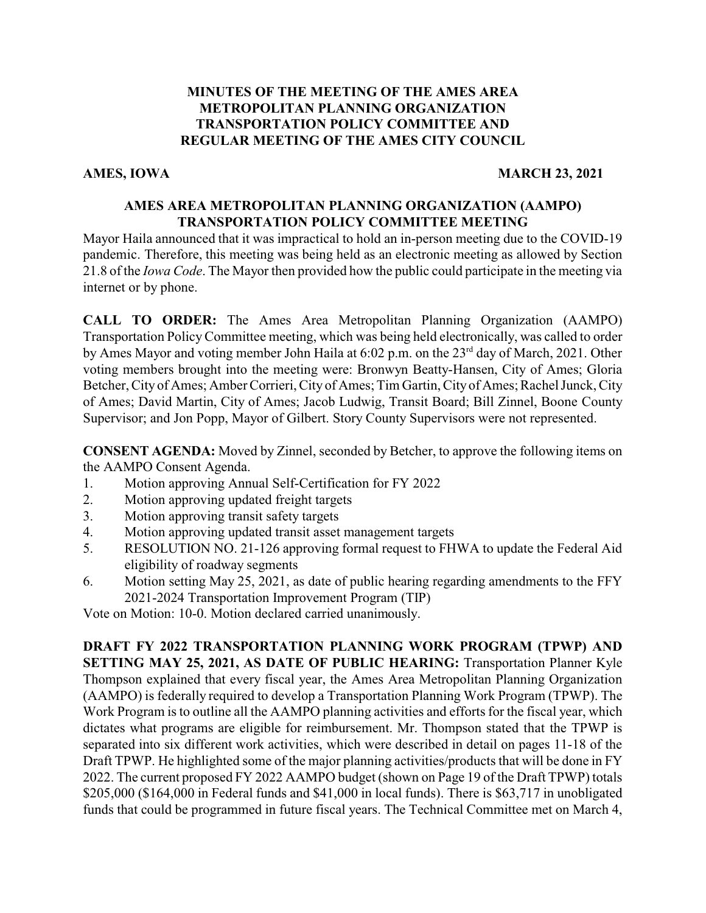# **MINUTES OF THE MEETING OF THE AMES AREA METROPOLITAN PLANNING ORGANIZATION TRANSPORTATION POLICY COMMITTEE AND REGULAR MEETING OF THE AMES CITY COUNCIL**

# **AMES, IOWA** MARCH 23, 2021

# **AMES AREA METROPOLITAN PLANNING ORGANIZATION (AAMPO) TRANSPORTATION POLICY COMMITTEE MEETING**

Mayor Haila announced that it was impractical to hold an in-person meeting due to the COVID-19 pandemic. Therefore, this meeting was being held as an electronic meeting as allowed by Section 21.8 of the *Iowa Code*. The Mayor then provided how the public could participate in the meeting via internet or by phone.

**CALL TO ORDER:** The Ames Area Metropolitan Planning Organization (AAMPO) Transportation PolicyCommittee meeting, which was being held electronically, was called to order by Ames Mayor and voting member John Haila at 6:02 p.m. on the 23<sup>rd</sup> day of March, 2021. Other voting members brought into the meeting were: Bronwyn Beatty-Hansen, City of Ames; Gloria Betcher, City of Ames; Amber Corrieri, City of Ames; Tim Gartin, City of Ames; Rachel Junck, City of Ames; David Martin, City of Ames; Jacob Ludwig, Transit Board; Bill Zinnel, Boone County Supervisor; and Jon Popp, Mayor of Gilbert. Story County Supervisors were not represented.

**CONSENT AGENDA:** Moved by Zinnel, seconded by Betcher, to approve the following items on the AAMPO Consent Agenda.

- 1. Motion approving Annual Self-Certification for FY 2022
- 2. Motion approving updated freight targets
- 3. Motion approving transit safety targets
- 4. Motion approving updated transit asset management targets
- 5. RESOLUTION NO. 21-126 approving formal request to FHWA to update the Federal Aid eligibility of roadway segments
- 6. Motion setting May 25, 2021, as date of public hearing regarding amendments to the FFY 2021-2024 Transportation Improvement Program (TIP)

Vote on Motion: 10-0. Motion declared carried unanimously.

**DRAFT FY 2022 TRANSPORTATION PLANNING WORK PROGRAM (TPWP) AND SETTING MAY 25, 2021, AS DATE OF PUBLIC HEARING:** Transportation Planner Kyle Thompson explained that every fiscal year, the Ames Area Metropolitan Planning Organization (AAMPO) is federally required to develop a Transportation Planning Work Program (TPWP). The Work Program is to outline all the AAMPO planning activities and efforts for the fiscal year, which dictates what programs are eligible for reimbursement. Mr. Thompson stated that the TPWP is separated into six different work activities, which were described in detail on pages 11-18 of the Draft TPWP. He highlighted some of the major planning activities/products that will be done in FY 2022. The current proposed FY 2022 AAMPO budget (shown on Page 19 of the Draft TPWP) totals \$205,000 (\$164,000 in Federal funds and \$41,000 in local funds). There is \$63,717 in unobligated funds that could be programmed in future fiscal years. The Technical Committee met on March 4,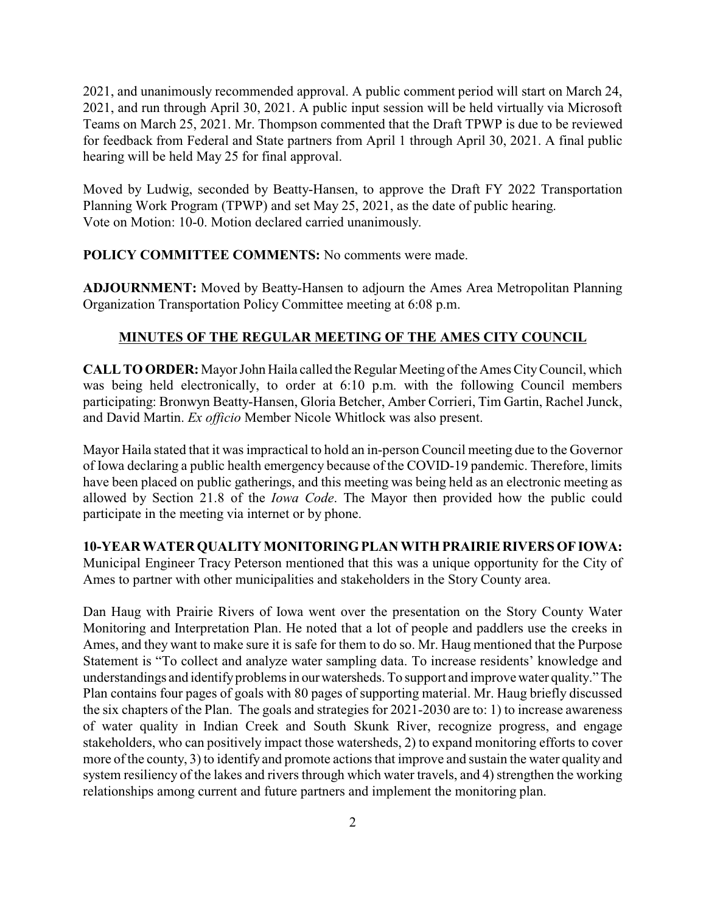2021, and unanimously recommended approval. A public comment period will start on March 24, 2021, and run through April 30, 2021. A public input session will be held virtually via Microsoft Teams on March 25, 2021. Mr. Thompson commented that the Draft TPWP is due to be reviewed for feedback from Federal and State partners from April 1 through April 30, 2021. A final public hearing will be held May 25 for final approval.

Moved by Ludwig, seconded by Beatty-Hansen, to approve the Draft FY 2022 Transportation Planning Work Program (TPWP) and set May 25, 2021, as the date of public hearing. Vote on Motion: 10-0. Motion declared carried unanimously.

### **POLICY COMMITTEE COMMENTS:** No comments were made.

**ADJOURNMENT:** Moved by Beatty-Hansen to adjourn the Ames Area Metropolitan Planning Organization Transportation Policy Committee meeting at 6:08 p.m.

# **MINUTES OF THE REGULAR MEETING OF THE AMES CITY COUNCIL**

**CALLTOORDER:** Mayor John Haila called the Regular Meeting ofthe Ames CityCouncil, which was being held electronically, to order at 6:10 p.m. with the following Council members participating: Bronwyn Beatty-Hansen, Gloria Betcher, Amber Corrieri, Tim Gartin, Rachel Junck, and David Martin. *Ex officio* Member Nicole Whitlock was also present.

Mayor Haila stated that it was impractical to hold an in-person Council meeting due to the Governor of Iowa declaring a public health emergency because of the COVID-19 pandemic. Therefore, limits have been placed on public gatherings, and this meeting was being held as an electronic meeting as allowed by Section 21.8 of the *Iowa Code*. The Mayor then provided how the public could participate in the meeting via internet or by phone.

### **10-YEAR WATER QUALITY MONITORINGPLAN WITH PRAIRIE RIVERS OFIOWA:**

Municipal Engineer Tracy Peterson mentioned that this was a unique opportunity for the City of Ames to partner with other municipalities and stakeholders in the Story County area.

Dan Haug with Prairie Rivers of Iowa went over the presentation on the Story County Water Monitoring and Interpretation Plan. He noted that a lot of people and paddlers use the creeks in Ames, and they want to make sure it is safe for them to do so. Mr. Haug mentioned that the Purpose Statement is "To collect and analyze water sampling data. To increase residents' knowledge and understandings and identify problems in our watersheds. To support and improve water quality." The Plan contains four pages of goals with 80 pages of supporting material. Mr. Haug briefly discussed the six chapters of the Plan. The goals and strategies for 2021-2030 are to: 1) to increase awareness of water quality in Indian Creek and South Skunk River, recognize progress, and engage stakeholders, who can positively impact those watersheds, 2) to expand monitoring efforts to cover more of the county, 3) to identify and promote actions that improve and sustain the water quality and system resiliency of the lakes and rivers through which water travels, and 4) strengthen the working relationships among current and future partners and implement the monitoring plan.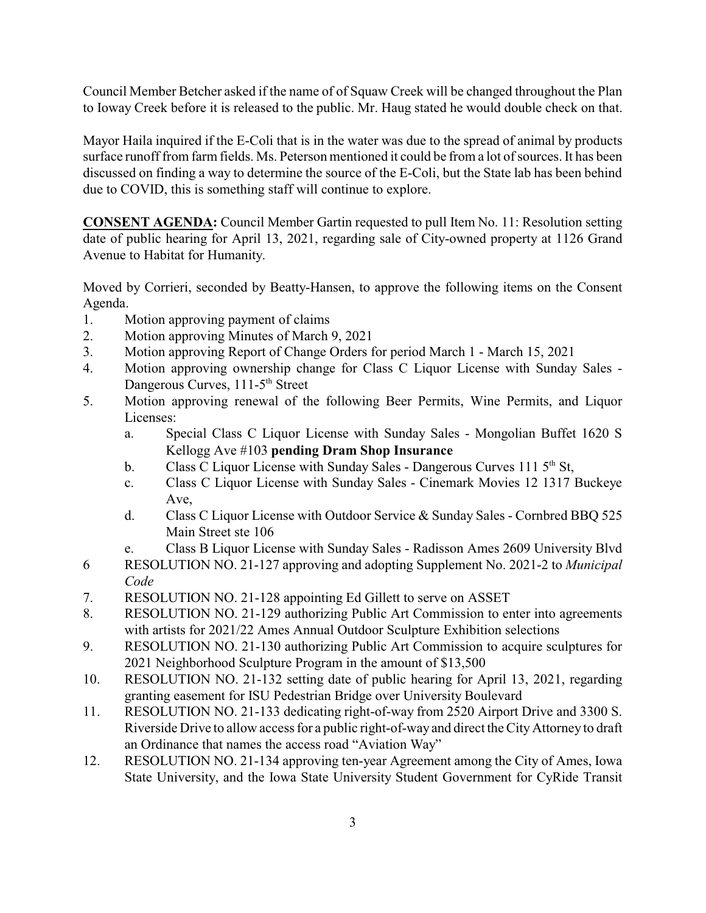Council Member Betcher asked if the name of of Squaw Creek will be changed throughout the Plan to Ioway Creek before it is released to the public. Mr. Haug stated he would double check on that.

Mayor Haila inquired if the E-Coli that is in the water was due to the spread of animal by products surface runoff from farm fields. Ms. Peterson mentioned it could be from a lot of sources. It has been discussed on finding a way to determine the source of the E-Coli, but the State lab has been behind due to COVID, this is something staff will continue to explore.

**CONSENT AGENDA:** Council Member Gartin requested to pull Item No. 11: Resolution setting date of public hearing for April 13, 2021, regarding sale of City-owned property at 1126 Grand Avenue to Habitat for Humanity.

Moved by Corrieri, seconded by Beatty-Hansen, to approve the following items on the Consent Agenda.

- 1. Motion approving payment of claims
- 2. Motion approving Minutes of March 9, 2021
- 3. Motion approving Report of Change Orders for period March 1 March 15, 2021
- 4. Motion approving ownership change for Class C Liquor License with Sunday Sales Dangerous Curves, 111-5<sup>th</sup> Street
- 5. Motion approving renewal of the following Beer Permits, Wine Permits, and Liquor Licenses:
	- a. Special Class C Liquor License with Sunday Sales Mongolian Buffet 1620 S Kellogg Ave #103 **pending Dram Shop Insurance**
	- b. Class C Liquor License with Sunday Sales Dangerous Curves 111  $5<sup>th</sup>$  St,
	- c. Class C Liquor License with Sunday Sales Cinemark Movies 12 1317 Buckeye Ave,
	- d. Class C Liquor License with Outdoor Service & Sunday Sales Cornbred BBQ 525 Main Street ste 106
	- e. Class B Liquor License with Sunday Sales Radisson Ames 2609 University Blvd
- 6 RESOLUTION NO. 21-127 approving and adopting Supplement No. 2021-2 to *Municipal Code*
- 7. RESOLUTION NO. 21-128 appointing Ed Gillett to serve on ASSET
- 8. RESOLUTION NO. 21-129 authorizing Public Art Commission to enter into agreements with artists for 2021/22 Ames Annual Outdoor Sculpture Exhibition selections
- 9. RESOLUTION NO. 21-130 authorizing Public Art Commission to acquire sculptures for 2021 Neighborhood Sculpture Program in the amount of \$13,500
- 10. RESOLUTION NO. 21-132 setting date of public hearing for April 13, 2021, regarding granting easement for ISU Pedestrian Bridge over University Boulevard
- 11. RESOLUTION NO. 21-133 dedicating right-of-way from 2520 Airport Drive and 3300 S. Riverside Drive to allow access for a public right-of-wayand direct the CityAttorney to draft an Ordinance that names the access road "Aviation Way"
- 12. RESOLUTION NO. 21-134 approving ten-year Agreement among the City of Ames, Iowa State University, and the Iowa State University Student Government for CyRide Transit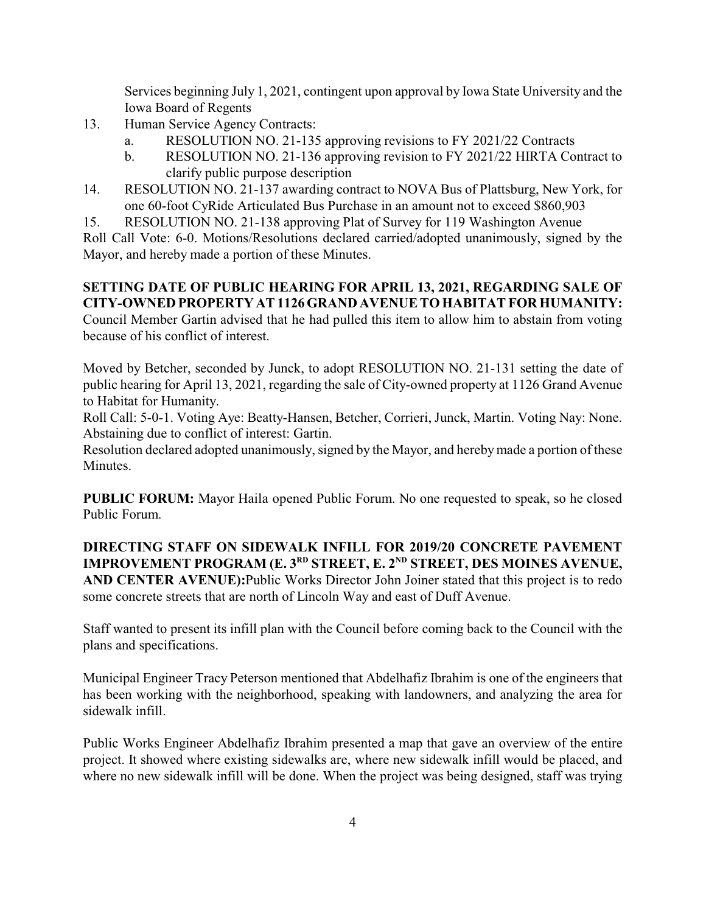Services beginning July 1, 2021, contingent upon approval by Iowa State University and the Iowa Board of Regents

- 13. Human Service Agency Contracts:
	- a. RESOLUTION NO. 21-135 approving revisions to FY 2021/22 Contracts
	- b. RESOLUTION NO. 21-136 approving revision to FY 2021/22 HIRTA Contract to clarify public purpose description
- 14. RESOLUTION NO. 21-137 awarding contract to NOVA Bus of Plattsburg, New York, for one 60-foot CyRide Articulated Bus Purchase in an amount not to exceed \$860,903
- 15. RESOLUTION NO. 21-138 approving Plat of Survey for 119 Washington Avenue

Roll Call Vote: 6-0. Motions/Resolutions declared carried/adopted unanimously, signed by the Mayor, and hereby made a portion of these Minutes.

# **SETTING DATE OF PUBLIC HEARING FOR APRIL 13, 2021, REGARDING SALE OF CITY-OWNED PROPERTY AT 1126 GRAND AVENUE TO HABITAT FOR HUMANITY:**

Council Member Gartin advised that he had pulled this item to allow him to abstain from voting because of his conflict of interest.

Moved by Betcher, seconded by Junck, to adopt RESOLUTION NO. 21-131 setting the date of public hearing for April 13, 2021, regarding the sale of City-owned property at 1126 Grand Avenue to Habitat for Humanity.

Roll Call: 5-0-1. Voting Aye: Beatty-Hansen, Betcher, Corrieri, Junck, Martin. Voting Nay: None. Abstaining due to conflict of interest: Gartin.

Resolution declared adopted unanimously, signed by the Mayor, and hereby made a portion of these Minutes.

**PUBLIC FORUM:** Mayor Haila opened Public Forum. No one requested to speak, so he closed Public Forum.

**DIRECTING STAFF ON SIDEWALK INFILL FOR 2019/20 CONCRETE PAVEMENT IMPROVEMENT PROGRAM (E. 3 RD STREET, E. 2 ND STREET, DES MOINES AVENUE, AND CENTER AVENUE):**Public Works Director John Joiner stated that this project is to redo some concrete streets that are north of Lincoln Way and east of Duff Avenue.

Staff wanted to present its infill plan with the Council before coming back to the Council with the plans and specifications.

Municipal Engineer Tracy Peterson mentioned that Abdelhafiz Ibrahim is one of the engineers that has been working with the neighborhood, speaking with landowners, and analyzing the area for sidewalk infill.

Public Works Engineer Abdelhafiz Ibrahim presented a map that gave an overview of the entire project. It showed where existing sidewalks are, where new sidewalk infill would be placed, and where no new sidewalk infill will be done. When the project was being designed, staff was trying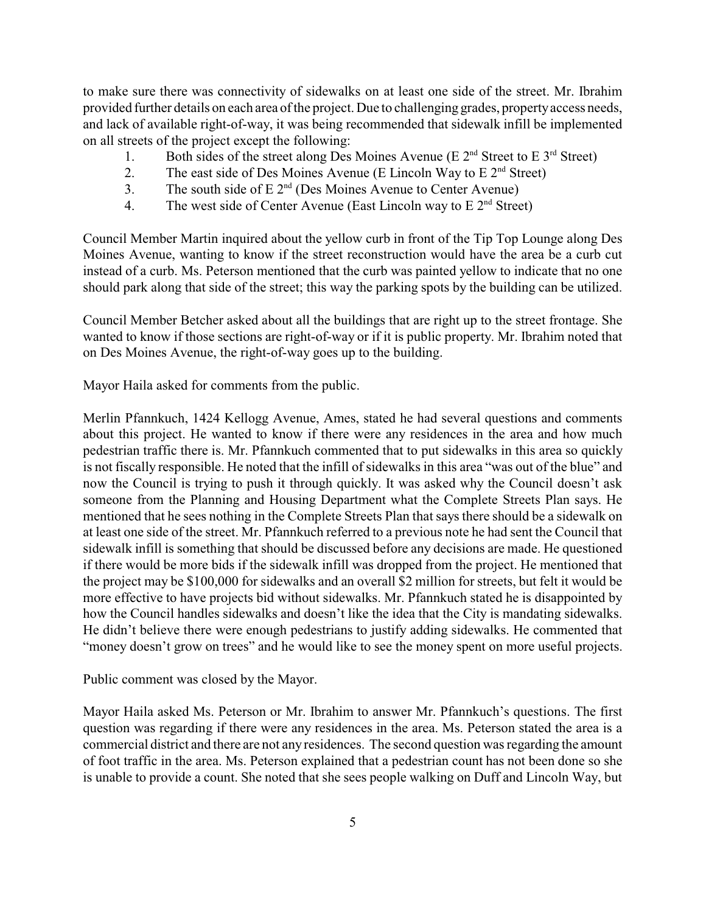to make sure there was connectivity of sidewalks on at least one side of the street. Mr. Ibrahim provided further details on each area of the project. Due to challenging grades, propertyaccess needs, and lack of available right-of-way, it was being recommended that sidewalk infill be implemented on all streets of the project except the following:

- 1. Both sides of the street along Des Moines Avenue (E  $2<sup>nd</sup>$  Street to E  $3<sup>rd</sup>$  Street)
- 2. The east side of Des Moines Avenue (E Lincoln Way to E  $2<sup>nd</sup>$  Street)
- 3. The south side of  $E 2<sup>nd</sup>$  (Des Moines Avenue to Center Avenue)
- 4. The west side of Center Avenue (East Lincoln way to  $E 2<sup>nd</sup>$  Street)

Council Member Martin inquired about the yellow curb in front of the Tip Top Lounge along Des Moines Avenue, wanting to know if the street reconstruction would have the area be a curb cut instead of a curb. Ms. Peterson mentioned that the curb was painted yellow to indicate that no one should park along that side of the street; this way the parking spots by the building can be utilized.

Council Member Betcher asked about all the buildings that are right up to the street frontage. She wanted to know if those sections are right-of-way or if it is public property. Mr. Ibrahim noted that on Des Moines Avenue, the right-of-way goes up to the building.

Mayor Haila asked for comments from the public.

Merlin Pfannkuch, 1424 Kellogg Avenue, Ames, stated he had several questions and comments about this project. He wanted to know if there were any residences in the area and how much pedestrian traffic there is. Mr. Pfannkuch commented that to put sidewalks in this area so quickly is not fiscally responsible. He noted that the infill of sidewalks in this area "was out of the blue" and now the Council is trying to push it through quickly. It was asked why the Council doesn't ask someone from the Planning and Housing Department what the Complete Streets Plan says. He mentioned that he sees nothing in the Complete Streets Plan that says there should be a sidewalk on at least one side of the street. Mr. Pfannkuch referred to a previous note he had sent the Council that sidewalk infill is something that should be discussed before any decisions are made. He questioned if there would be more bids if the sidewalk infill was dropped from the project. He mentioned that the project may be \$100,000 for sidewalks and an overall \$2 million for streets, but felt it would be more effective to have projects bid without sidewalks. Mr. Pfannkuch stated he is disappointed by how the Council handles sidewalks and doesn't like the idea that the City is mandating sidewalks. He didn't believe there were enough pedestrians to justify adding sidewalks. He commented that "money doesn't grow on trees" and he would like to see the money spent on more useful projects.

Public comment was closed by the Mayor.

Mayor Haila asked Ms. Peterson or Mr. Ibrahim to answer Mr. Pfannkuch's questions. The first question was regarding if there were any residences in the area. Ms. Peterson stated the area is a commercial district and there are not any residences. The second question was regarding the amount of foot traffic in the area. Ms. Peterson explained that a pedestrian count has not been done so she is unable to provide a count. She noted that she sees people walking on Duff and Lincoln Way, but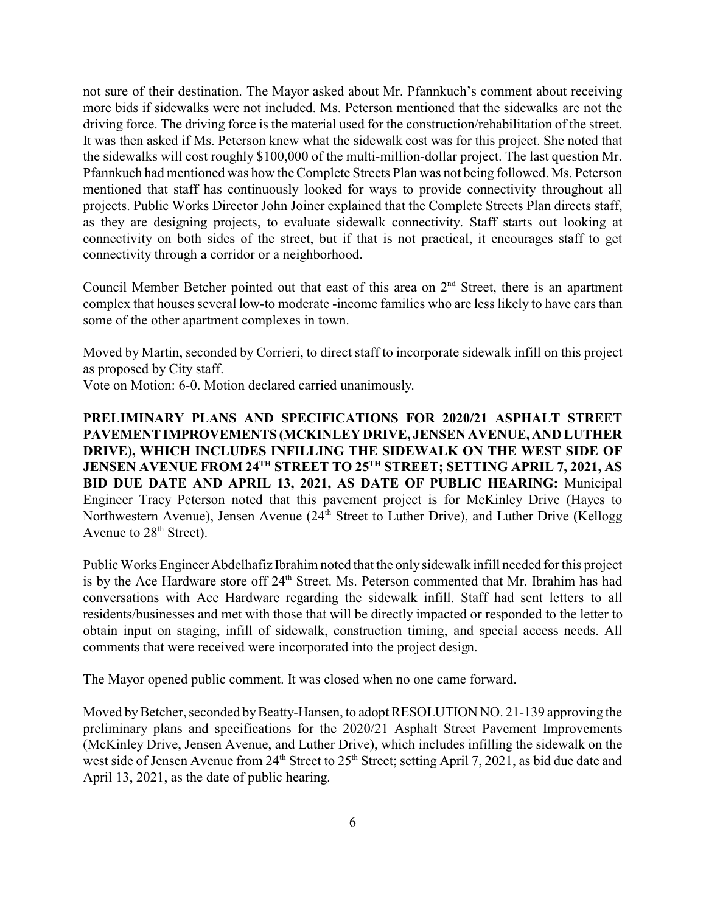not sure of their destination. The Mayor asked about Mr. Pfannkuch's comment about receiving more bids if sidewalks were not included. Ms. Peterson mentioned that the sidewalks are not the driving force. The driving force is the material used for the construction/rehabilitation of the street. It was then asked if Ms. Peterson knew what the sidewalk cost was for this project. She noted that the sidewalks will cost roughly \$100,000 of the multi-million-dollar project. The last question Mr. Pfannkuch had mentioned was how the Complete Streets Plan was not being followed. Ms. Peterson mentioned that staff has continuously looked for ways to provide connectivity throughout all projects. Public Works Director John Joiner explained that the Complete Streets Plan directs staff, as they are designing projects, to evaluate sidewalk connectivity. Staff starts out looking at connectivity on both sides of the street, but if that is not practical, it encourages staff to get connectivity through a corridor or a neighborhood.

Council Member Betcher pointed out that east of this area on  $2<sup>nd</sup>$  Street, there is an apartment complex that houses several low-to moderate -income families who are less likely to have cars than some of the other apartment complexes in town.

Moved by Martin, seconded by Corrieri, to direct staff to incorporate sidewalk infill on this project as proposed by City staff.

Vote on Motion: 6-0. Motion declared carried unanimously.

**PRELIMINARY PLANS AND SPECIFICATIONS FOR 2020/21 ASPHALT STREET PAVEMENTIMPROVEMENTS (MCKINLEY DRIVE, JENSEN AVENUE, AND LUTHER DRIVE), WHICH INCLUDES INFILLING THE SIDEWALK ON THE WEST SIDE OF JENSEN AVENUE FROM 24TH STREET TO 25TH STREET; SETTING APRIL 7, 2021, AS BID DUE DATE AND APRIL 13, 2021, AS DATE OF PUBLIC HEARING:** Municipal Engineer Tracy Peterson noted that this pavement project is for McKinley Drive (Hayes to Northwestern Avenue), Jensen Avenue (24<sup>th</sup> Street to Luther Drive), and Luther Drive (Kellogg Avenue to  $28<sup>th</sup>$  Street).

Public Works Engineer Abdelhafiz Ibrahim noted that the only sidewalk infill needed for this project is by the Ace Hardware store off 24<sup>th</sup> Street. Ms. Peterson commented that Mr. Ibrahim has had conversations with Ace Hardware regarding the sidewalk infill. Staff had sent letters to all residents/businesses and met with those that will be directly impacted or responded to the letter to obtain input on staging, infill of sidewalk, construction timing, and special access needs. All comments that were received were incorporated into the project design.

The Mayor opened public comment. It was closed when no one came forward.

Moved by Betcher, seconded by Beatty-Hansen, to adopt RESOLUTION NO. 21-139 approving the preliminary plans and specifications for the 2020/21 Asphalt Street Pavement Improvements (McKinley Drive, Jensen Avenue, and Luther Drive), which includes infilling the sidewalk on the west side of Jensen Avenue from 24<sup>th</sup> Street to 25<sup>th</sup> Street; setting April 7, 2021, as bid due date and April 13, 2021, as the date of public hearing.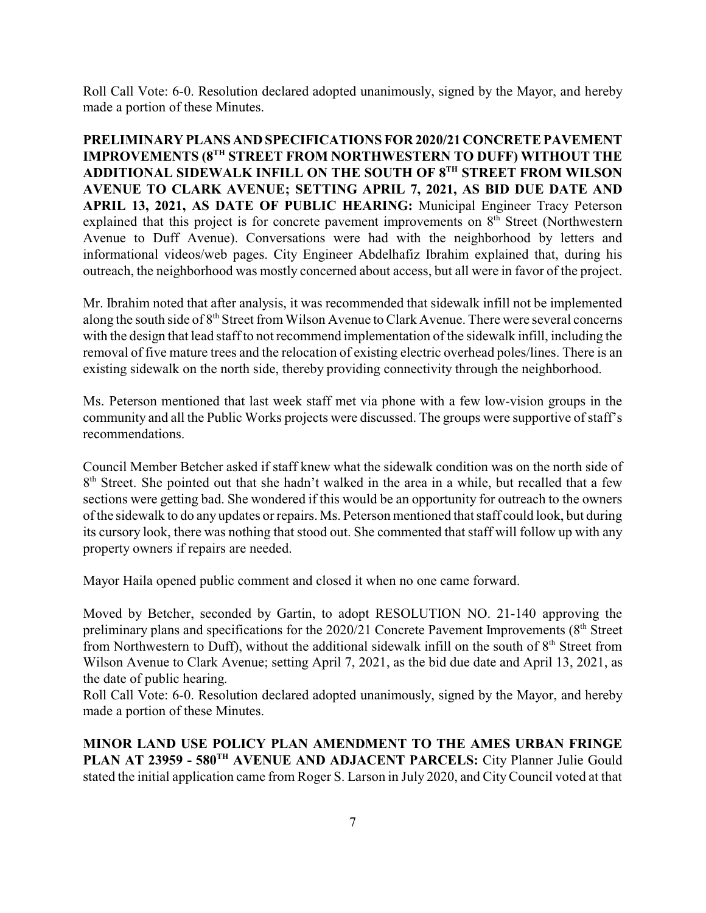Roll Call Vote: 6-0. Resolution declared adopted unanimously, signed by the Mayor, and hereby made a portion of these Minutes.

**PRELIMINARY PLANS AND SPECIFICATIONS FOR 2020/21 CONCRETE PAVEMENT IMPROVEMENTS (8TH STREET FROM NORTHWESTERN TO DUFF) WITHOUT THE ADDITIONAL SIDEWALK INFILL ON THE SOUTH OF 8 TH STREET FROM WILSON AVENUE TO CLARK AVENUE; SETTING APRIL 7, 2021, AS BID DUE DATE AND APRIL 13, 2021, AS DATE OF PUBLIC HEARING:** Municipal Engineer Tracy Peterson explained that this project is for concrete pavement improvements on 8<sup>th</sup> Street (Northwestern Avenue to Duff Avenue). Conversations were had with the neighborhood by letters and informational videos/web pages. City Engineer Abdelhafiz Ibrahim explained that, during his outreach, the neighborhood was mostly concerned about access, but all were in favor of the project.

Mr. Ibrahim noted that after analysis, it was recommended that sidewalk infill not be implemented along the south side of 8<sup>th</sup> Street from Wilson Avenue to Clark Avenue. There were several concerns with the design that lead staff to not recommend implementation of the sidewalk infill, including the removal of five mature trees and the relocation of existing electric overhead poles/lines. There is an existing sidewalk on the north side, thereby providing connectivity through the neighborhood.

Ms. Peterson mentioned that last week staff met via phone with a few low-vision groups in the community and all the Public Works projects were discussed. The groups were supportive of staff's recommendations.

Council Member Betcher asked if staff knew what the sidewalk condition was on the north side of 8<sup>th</sup> Street. She pointed out that she hadn't walked in the area in a while, but recalled that a few sections were getting bad. She wondered if this would be an opportunity for outreach to the owners of the sidewalk to do any updates or repairs. Ms. Peterson mentioned that staff could look, but during its cursory look, there was nothing that stood out. She commented that staff will follow up with any property owners if repairs are needed.

Mayor Haila opened public comment and closed it when no one came forward.

Moved by Betcher, seconded by Gartin, to adopt RESOLUTION NO. 21-140 approving the preliminary plans and specifications for the  $2020/21$  Concrete Pavement Improvements ( $8<sup>th</sup>$  Street from Northwestern to Duff), without the additional sidewalk infill on the south of  $8<sup>th</sup>$  Street from Wilson Avenue to Clark Avenue; setting April 7, 2021, as the bid due date and April 13, 2021, as the date of public hearing.

Roll Call Vote: 6-0. Resolution declared adopted unanimously, signed by the Mayor, and hereby made a portion of these Minutes.

**MINOR LAND USE POLICY PLAN AMENDMENT TO THE AMES URBAN FRINGE PLAN AT 23959 - 580TH AVENUE AND ADJACENT PARCELS:** City Planner Julie Gould stated the initial application came from Roger S. Larson in July 2020, and CityCouncil voted at that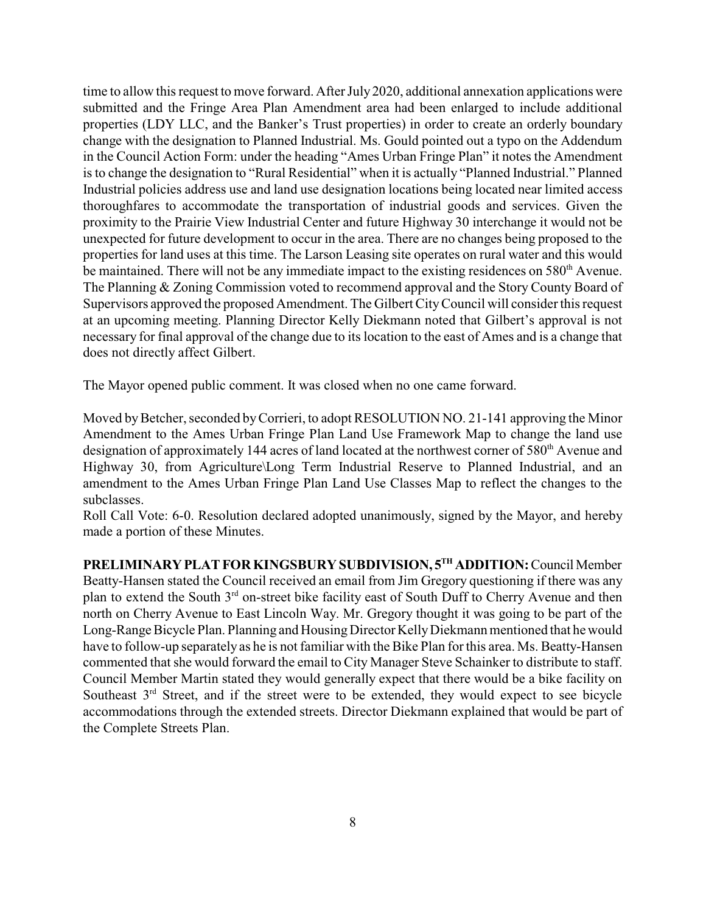time to allow this request to move forward. After July 2020, additional annexation applications were submitted and the Fringe Area Plan Amendment area had been enlarged to include additional properties (LDY LLC, and the Banker's Trust properties) in order to create an orderly boundary change with the designation to Planned Industrial. Ms. Gould pointed out a typo on the Addendum in the Council Action Form: under the heading "Ames Urban Fringe Plan" it notes the Amendment is to change the designation to "Rural Residential" when it is actually "Planned Industrial." Planned Industrial policies address use and land use designation locations being located near limited access thoroughfares to accommodate the transportation of industrial goods and services. Given the proximity to the Prairie View Industrial Center and future Highway 30 interchange it would not be unexpected for future development to occur in the area. There are no changes being proposed to the properties for land uses at this time. The Larson Leasing site operates on rural water and this would be maintained. There will not be any immediate impact to the existing residences on 580<sup>th</sup> Avenue. The Planning & Zoning Commission voted to recommend approval and the Story County Board of Supervisors approved the proposed Amendment. The Gilbert CityCouncil will consider this request at an upcoming meeting. Planning Director Kelly Diekmann noted that Gilbert's approval is not necessary for final approval of the change due to its location to the east of Ames and is a change that does not directly affect Gilbert.

The Mayor opened public comment. It was closed when no one came forward.

Moved by Betcher, seconded by Corrieri, to adopt RESOLUTION NO. 21-141 approving the Minor Amendment to the Ames Urban Fringe Plan Land Use Framework Map to change the land use designation of approximately 144 acres of land located at the northwest corner of 580<sup>th</sup> Avenue and Highway 30, from Agriculture\Long Term Industrial Reserve to Planned Industrial, and an amendment to the Ames Urban Fringe Plan Land Use Classes Map to reflect the changes to the subclasses.

Roll Call Vote: 6-0. Resolution declared adopted unanimously, signed by the Mayor, and hereby made a portion of these Minutes.

**PRELIMINARYPLATFOR KINGSBURY SUBDIVISION, 5 TH ADDITION:**CouncilMember Beatty-Hansen stated the Council received an email from Jim Gregory questioning if there was any plan to extend the South 3<sup>rd</sup> on-street bike facility east of South Duff to Cherry Avenue and then north on Cherry Avenue to East Lincoln Way. Mr. Gregory thought it was going to be part of the Long-Range Bicycle Plan. Planning and Housing Director Kelly Diekmann mentioned that he would have to follow-up separately as he is not familiar with the Bike Plan for this area. Ms. Beatty-Hansen commented that she would forward the email to City Manager Steve Schainker to distribute to staff. Council Member Martin stated they would generally expect that there would be a bike facility on Southeast  $3<sup>rd</sup>$  Street, and if the street were to be extended, they would expect to see bicycle accommodations through the extended streets. Director Diekmann explained that would be part of the Complete Streets Plan.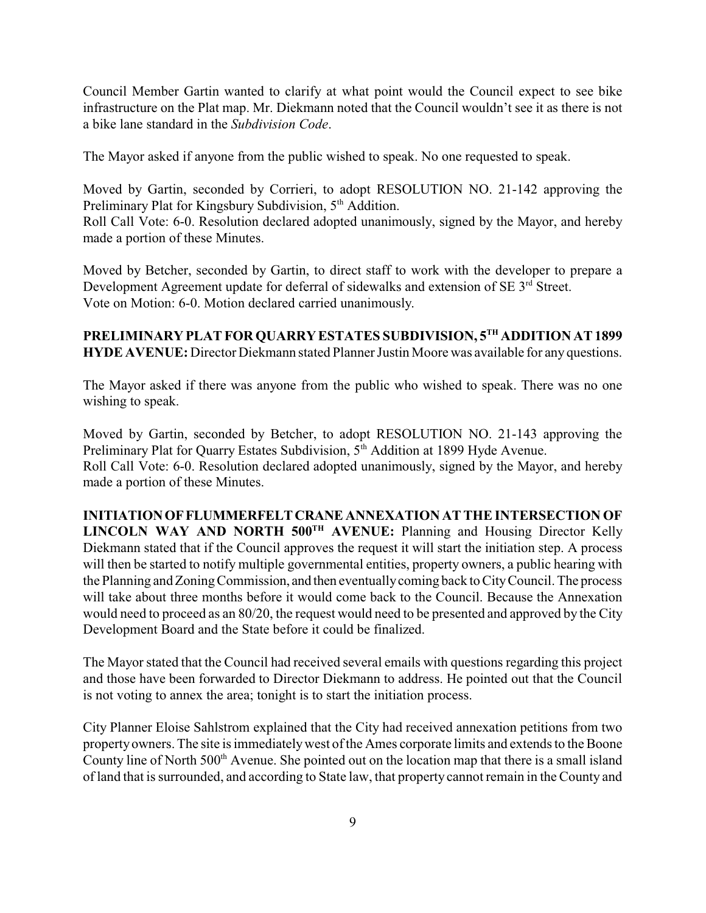Council Member Gartin wanted to clarify at what point would the Council expect to see bike infrastructure on the Plat map. Mr. Diekmann noted that the Council wouldn't see it as there is not a bike lane standard in the *Subdivision Code*.

The Mayor asked if anyone from the public wished to speak. No one requested to speak.

Moved by Gartin, seconded by Corrieri, to adopt RESOLUTION NO. 21-142 approving the Preliminary Plat for Kingsbury Subdivision, 5<sup>th</sup> Addition. Roll Call Vote: 6-0. Resolution declared adopted unanimously, signed by the Mayor, and hereby made a portion of these Minutes.

Moved by Betcher, seconded by Gartin, to direct staff to work with the developer to prepare a Development Agreement update for deferral of sidewalks and extension of SE 3<sup>rd</sup> Street. Vote on Motion: 6-0. Motion declared carried unanimously.

# **PRELIMINARY PLAT FOR QUARRYESTATES SUBDIVISION, 5 TH ADDITION AT 1899 HYDE AVENUE:** Director Diekmann stated Planner Justin Moore was available for any questions.

The Mayor asked if there was anyone from the public who wished to speak. There was no one wishing to speak.

Moved by Gartin, seconded by Betcher, to adopt RESOLUTION NO. 21-143 approving the Preliminary Plat for Quarry Estates Subdivision, 5<sup>th</sup> Addition at 1899 Hyde Avenue. Roll Call Vote: 6-0. Resolution declared adopted unanimously, signed by the Mayor, and hereby made a portion of these Minutes.

**INITIATIONOFFLUMMERFELTCRANE ANNEXATION AT THE INTERSECTION OF LINCOLN WAY AND NORTH 500TH AVENUE:** Planning and Housing Director Kelly Diekmann stated that if the Council approves the request it will start the initiation step. A process will then be started to notify multiple governmental entities, property owners, a public hearing with the Planning and Zoning Commission, and then eventually coming back to City Council. The process will take about three months before it would come back to the Council. Because the Annexation would need to proceed as an 80/20, the request would need to be presented and approved by the City Development Board and the State before it could be finalized.

The Mayor stated that the Council had received several emails with questions regarding this project and those have been forwarded to Director Diekmann to address. He pointed out that the Council is not voting to annex the area; tonight is to start the initiation process.

City Planner Eloise Sahlstrom explained that the City had received annexation petitions from two propertyowners. The site is immediatelywest of the Ames corporate limits and extends to the Boone County line of North 500<sup>th</sup> Avenue. She pointed out on the location map that there is a small island of land that is surrounded, and according to State law, that property cannot remain in the County and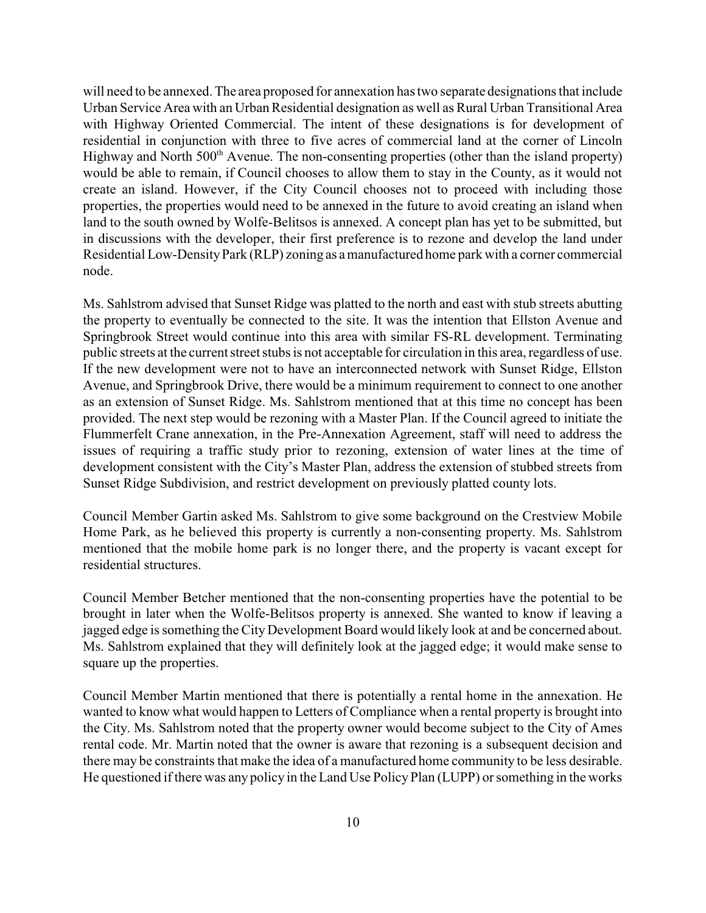will need to be annexed. The area proposed for annexation has two separate designations that include Urban Service Area with an Urban Residential designation as well as Rural Urban Transitional Area with Highway Oriented Commercial. The intent of these designations is for development of residential in conjunction with three to five acres of commercial land at the corner of Lincoln Highway and North 500<sup>th</sup> Avenue. The non-consenting properties (other than the island property) would be able to remain, if Council chooses to allow them to stay in the County, as it would not create an island. However, if the City Council chooses not to proceed with including those properties, the properties would need to be annexed in the future to avoid creating an island when land to the south owned by Wolfe-Belitsos is annexed. A concept plan has yet to be submitted, but in discussions with the developer, their first preference is to rezone and develop the land under Residential Low-DensityPark (RLP) zoning as a manufactured home park with a corner commercial node.

Ms. Sahlstrom advised that Sunset Ridge was platted to the north and east with stub streets abutting the property to eventually be connected to the site. It was the intention that Ellston Avenue and Springbrook Street would continue into this area with similar FS-RL development. Terminating public streets at the current street stubs is not acceptable for circulation in this area, regardless of use. If the new development were not to have an interconnected network with Sunset Ridge, Ellston Avenue, and Springbrook Drive, there would be a minimum requirement to connect to one another as an extension of Sunset Ridge. Ms. Sahlstrom mentioned that at this time no concept has been provided. The next step would be rezoning with a Master Plan. If the Council agreed to initiate the Flummerfelt Crane annexation, in the Pre-Annexation Agreement, staff will need to address the issues of requiring a traffic study prior to rezoning, extension of water lines at the time of development consistent with the City's Master Plan, address the extension of stubbed streets from Sunset Ridge Subdivision, and restrict development on previously platted county lots.

Council Member Gartin asked Ms. Sahlstrom to give some background on the Crestview Mobile Home Park, as he believed this property is currently a non-consenting property. Ms. Sahlstrom mentioned that the mobile home park is no longer there, and the property is vacant except for residential structures.

Council Member Betcher mentioned that the non-consenting properties have the potential to be brought in later when the Wolfe-Belitsos property is annexed. She wanted to know if leaving a jagged edge is something the City Development Board would likely look at and be concerned about. Ms. Sahlstrom explained that they will definitely look at the jagged edge; it would make sense to square up the properties.

Council Member Martin mentioned that there is potentially a rental home in the annexation. He wanted to know what would happen to Letters of Compliance when a rental property is brought into the City. Ms. Sahlstrom noted that the property owner would become subject to the City of Ames rental code. Mr. Martin noted that the owner is aware that rezoning is a subsequent decision and there may be constraints that make the idea of a manufactured home community to be less desirable. He questioned if there was any policy in the Land Use Policy Plan (LUPP) or something in the works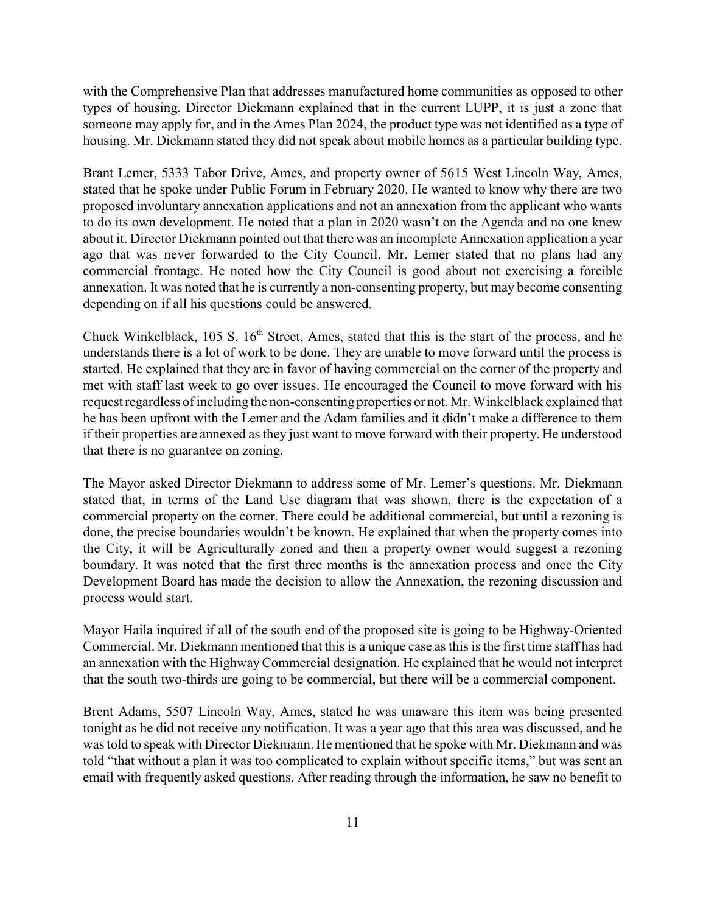with the Comprehensive Plan that addresses manufactured home communities as opposed to other types of housing. Director Diekmann explained that in the current LUPP, it is just a zone that someone may apply for, and in the Ames Plan 2024, the product type was not identified as a type of housing. Mr. Diekmann stated they did not speak about mobile homes as a particular building type.

Brant Lemer, 5333 Tabor Drive, Ames, and property owner of 5615 West Lincoln Way, Ames, stated that he spoke under Public Forum in February 2020. He wanted to know why there are two proposed involuntary annexation applications and not an annexation from the applicant who wants to do its own development. He noted that a plan in 2020 wasn't on the Agenda and no one knew about it. Director Diekmann pointed out that there was an incomplete Annexation application a year ago that was never forwarded to the City Council. Mr. Lemer stated that no plans had any commercial frontage. He noted how the City Council is good about not exercising a forcible annexation. It was noted that he is currently a non-consenting property, but may become consenting depending on if all his questions could be answered.

Chuck Winkelblack, 105 S. 16th Street, Ames, stated that this is the start of the process, and he understands there is a lot of work to be done. They are unable to move forward until the process is started. He explained that they are in favor of having commercial on the corner of the property and met with staff last week to go over issues. He encouraged the Council to move forward with his request regardless of including the non-consenting properties or not. Mr. Winkelblack explained that he has been upfront with the Lemer and the Adam families and it didn't make a difference to them if their properties are annexed as they just want to move forward with their property. He understood that there is no guarantee on zoning.

The Mayor asked Director Diekmann to address some of Mr. Lemer's questions. Mr. Diekmann stated that, in terms of the Land Use diagram that was shown, there is the expectation of a commercial property on the corner. There could be additional commercial, but until a rezoning is done, the precise boundaries wouldn't be known. He explained that when the property comes into the City, it will be Agriculturally zoned and then a property owner would suggest a rezoning boundary. It was noted that the first three months is the annexation process and once the City Development Board has made the decision to allow the Annexation, the rezoning discussion and process would start.

Mayor Haila inquired if all of the south end of the proposed site is going to be Highway-Oriented Commercial. Mr. Diekmann mentioned that this is a unique case as this is the first time staff has had an annexation with the HighwayCommercial designation. He explained that he would not interpret that the south two-thirds are going to be commercial, but there will be a commercial component.

Brent Adams, 5507 Lincoln Way, Ames, stated he was unaware this item was being presented tonight as he did not receive any notification. It was a year ago that this area was discussed, and he was told to speak with Director Diekmann. He mentioned that he spoke with Mr. Diekmann and was told "that without a plan it was too complicated to explain without specific items," but was sent an email with frequently asked questions. After reading through the information, he saw no benefit to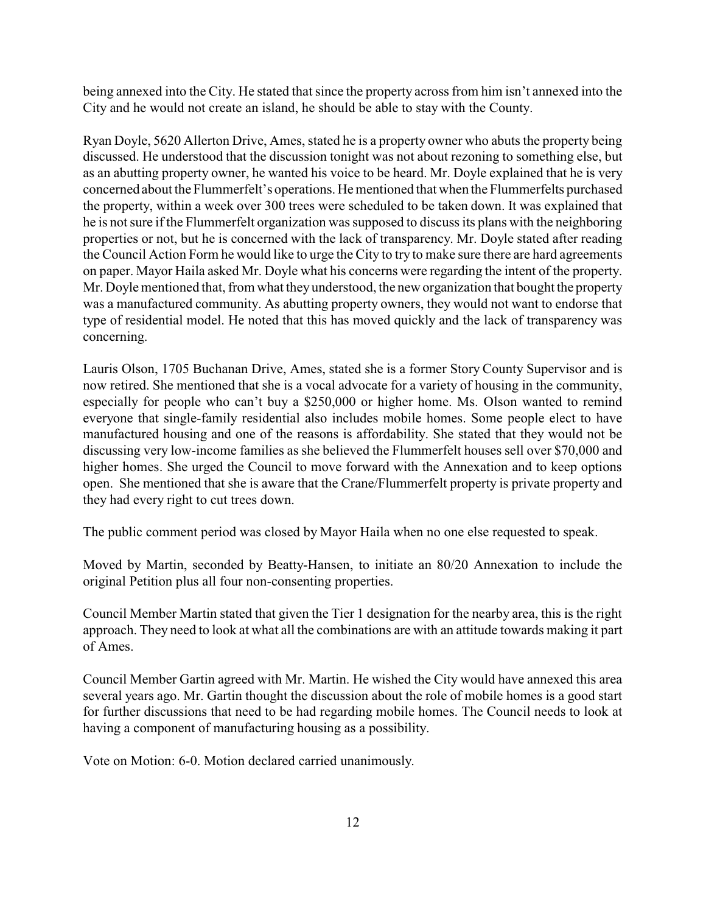being annexed into the City. He stated that since the property across from him isn't annexed into the City and he would not create an island, he should be able to stay with the County.

Ryan Doyle, 5620 Allerton Drive, Ames, stated he is a property owner who abuts the property being discussed. He understood that the discussion tonight was not about rezoning to something else, but as an abutting property owner, he wanted his voice to be heard. Mr. Doyle explained that he is very concerned about the Flummerfelt's operations. He mentioned that when the Flummerfelts purchased the property, within a week over 300 trees were scheduled to be taken down. It was explained that he is not sure if the Flummerfelt organization was supposed to discuss its plans with the neighboring properties or not, but he is concerned with the lack of transparency. Mr. Doyle stated after reading the Council Action Form he would like to urge the City to try to make sure there are hard agreements on paper. Mayor Haila asked Mr. Doyle what his concerns were regarding the intent of the property. Mr. Doyle mentioned that, from what they understood, the new organization that bought the property was a manufactured community. As abutting property owners, they would not want to endorse that type of residential model. He noted that this has moved quickly and the lack of transparency was concerning.

Lauris Olson, 1705 Buchanan Drive, Ames, stated she is a former Story County Supervisor and is now retired. She mentioned that she is a vocal advocate for a variety of housing in the community, especially for people who can't buy a \$250,000 or higher home. Ms. Olson wanted to remind everyone that single-family residential also includes mobile homes. Some people elect to have manufactured housing and one of the reasons is affordability. She stated that they would not be discussing very low-income families as she believed the Flummerfelt houses sell over \$70,000 and higher homes. She urged the Council to move forward with the Annexation and to keep options open. She mentioned that she is aware that the Crane/Flummerfelt property is private property and they had every right to cut trees down.

The public comment period was closed by Mayor Haila when no one else requested to speak.

Moved by Martin, seconded by Beatty-Hansen, to initiate an 80/20 Annexation to include the original Petition plus all four non-consenting properties.

Council Member Martin stated that given the Tier 1 designation for the nearby area, this is the right approach. They need to look at what all the combinations are with an attitude towards making it part of Ames.

Council Member Gartin agreed with Mr. Martin. He wished the City would have annexed this area several years ago. Mr. Gartin thought the discussion about the role of mobile homes is a good start for further discussions that need to be had regarding mobile homes. The Council needs to look at having a component of manufacturing housing as a possibility.

Vote on Motion: 6-0. Motion declared carried unanimously.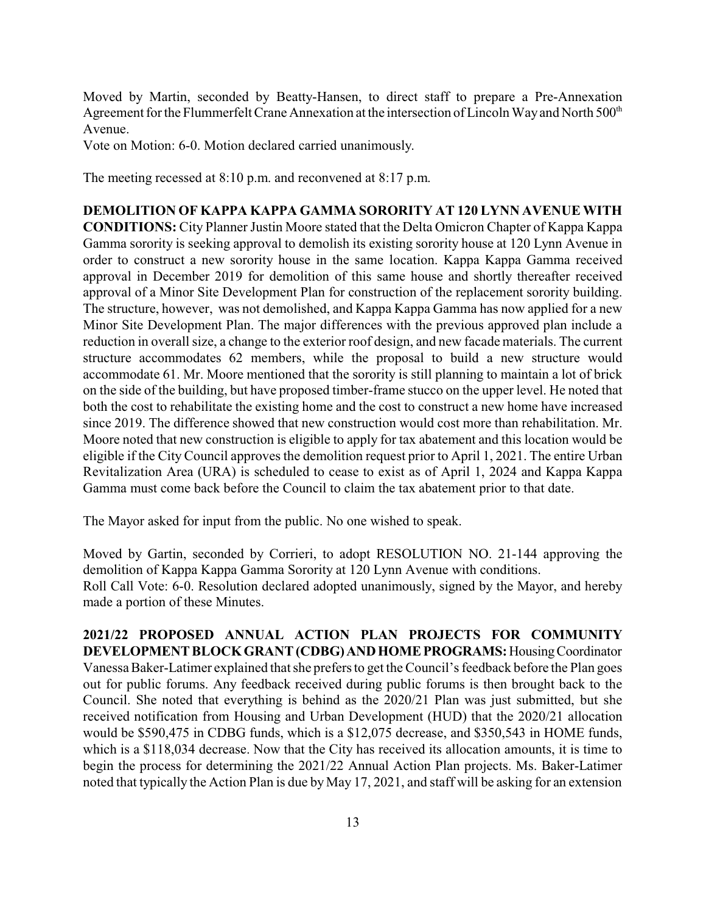Moved by Martin, seconded by Beatty-Hansen, to direct staff to prepare a Pre-Annexation Agreement for the Flummerfelt Crane Annexation at the intersection of Lincoln Way and North 500<sup>th</sup> Avenue.

Vote on Motion: 6-0. Motion declared carried unanimously.

The meeting recessed at 8:10 p.m. and reconvened at 8:17 p.m.

### **DEMOLITION OF KAPPA KAPPA GAMMA SORORITY AT 120 LYNN AVENUE WITH**

**CONDITIONS:** City Planner Justin Moore stated that the Delta Omicron Chapter of Kappa Kappa Gamma sorority is seeking approval to demolish its existing sorority house at 120 Lynn Avenue in order to construct a new sorority house in the same location. Kappa Kappa Gamma received approval in December 2019 for demolition of this same house and shortly thereafter received approval of a Minor Site Development Plan for construction of the replacement sorority building. The structure, however, was not demolished, and Kappa Kappa Gamma has now applied for a new Minor Site Development Plan. The major differences with the previous approved plan include a reduction in overall size, a change to the exterior roof design, and new facade materials. The current structure accommodates 62 members, while the proposal to build a new structure would accommodate 61. Mr. Moore mentioned that the sorority is still planning to maintain a lot of brick on the side of the building, but have proposed timber-frame stucco on the upper level. He noted that both the cost to rehabilitate the existing home and the cost to construct a new home have increased since 2019. The difference showed that new construction would cost more than rehabilitation. Mr. Moore noted that new construction is eligible to apply for tax abatement and this location would be eligible if the City Council approves the demolition request prior to April 1, 2021. The entire Urban Revitalization Area (URA) is scheduled to cease to exist as of April 1, 2024 and Kappa Kappa Gamma must come back before the Council to claim the tax abatement prior to that date.

The Mayor asked for input from the public. No one wished to speak.

Moved by Gartin, seconded by Corrieri, to adopt RESOLUTION NO. 21-144 approving the demolition of Kappa Kappa Gamma Sorority at 120 Lynn Avenue with conditions. Roll Call Vote: 6-0. Resolution declared adopted unanimously, signed by the Mayor, and hereby made a portion of these Minutes.

**2021/22 PROPOSED ANNUAL ACTION PLAN PROJECTS FOR COMMUNITY DEVELOPMENTBLOCKGRANT (CDBG)ANDHOMEPROGRAMS:**HousingCoordinator Vanessa Baker-Latimer explained that she prefers to get the Council's feedback before the Plan goes out for public forums. Any feedback received during public forums is then brought back to the Council. She noted that everything is behind as the 2020/21 Plan was just submitted, but she received notification from Housing and Urban Development (HUD) that the 2020/21 allocation would be \$590,475 in CDBG funds, which is a \$12,075 decrease, and \$350,543 in HOME funds, which is a \$118,034 decrease. Now that the City has received its allocation amounts, it is time to begin the process for determining the 2021/22 Annual Action Plan projects. Ms. Baker-Latimer noted that typically the Action Plan is due by May 17, 2021, and staff will be asking for an extension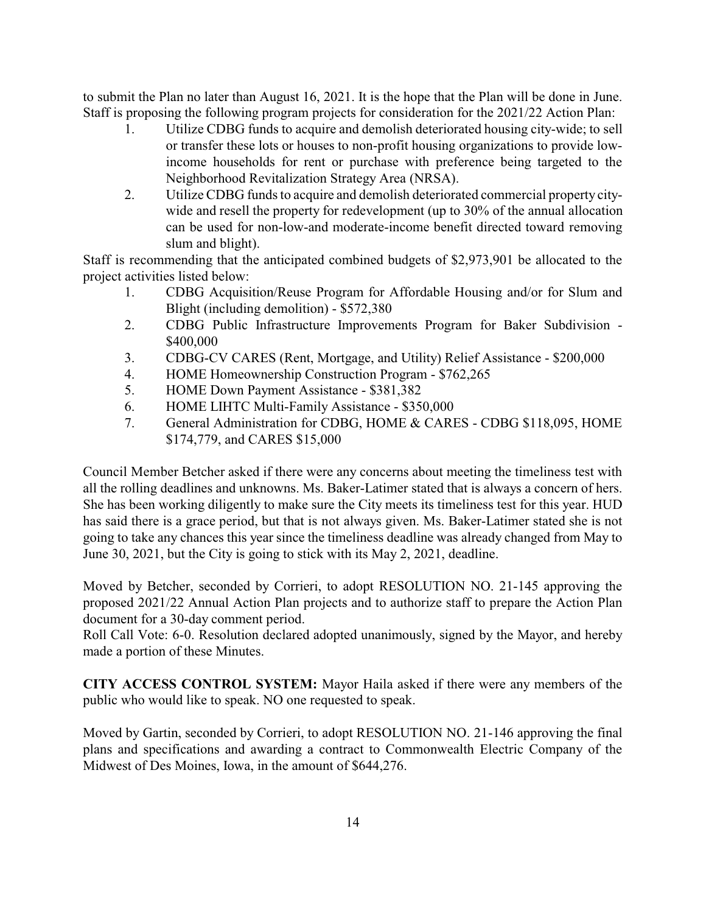to submit the Plan no later than August 16, 2021. It is the hope that the Plan will be done in June. Staff is proposing the following program projects for consideration for the 2021/22 Action Plan:

- 1. Utilize CDBG funds to acquire and demolish deteriorated housing city-wide; to sell or transfer these lots or houses to non-profit housing organizations to provide lowincome households for rent or purchase with preference being targeted to the Neighborhood Revitalization Strategy Area (NRSA).
- 2. Utilize CDBG funds to acquire and demolish deteriorated commercial property citywide and resell the property for redevelopment (up to 30% of the annual allocation can be used for non-low-and moderate-income benefit directed toward removing slum and blight).

Staff is recommending that the anticipated combined budgets of \$2,973,901 be allocated to the project activities listed below:

- 1. CDBG Acquisition/Reuse Program for Affordable Housing and/or for Slum and Blight (including demolition) - \$572,380
- 2. CDBG Public Infrastructure Improvements Program for Baker Subdivision \$400,000
- 3. CDBG-CV CARES (Rent, Mortgage, and Utility) Relief Assistance \$200,000
- 4. HOME Homeownership Construction Program \$762,265
- 5. HOME Down Payment Assistance \$381,382
- 6. HOME LIHTC Multi-Family Assistance \$350,000
- 7. General Administration for CDBG, HOME & CARES CDBG \$118,095, HOME \$174,779, and CARES \$15,000

Council Member Betcher asked if there were any concerns about meeting the timeliness test with all the rolling deadlines and unknowns. Ms. Baker-Latimer stated that is always a concern of hers. She has been working diligently to make sure the City meets its timeliness test for this year. HUD has said there is a grace period, but that is not always given. Ms. Baker-Latimer stated she is not going to take any chances this year since the timeliness deadline was already changed from May to June 30, 2021, but the City is going to stick with its May 2, 2021, deadline.

Moved by Betcher, seconded by Corrieri, to adopt RESOLUTION NO. 21-145 approving the proposed 2021/22 Annual Action Plan projects and to authorize staff to prepare the Action Plan document for a 30-day comment period.

Roll Call Vote: 6-0. Resolution declared adopted unanimously, signed by the Mayor, and hereby made a portion of these Minutes.

**CITY ACCESS CONTROL SYSTEM:** Mayor Haila asked if there were any members of the public who would like to speak. NO one requested to speak.

Moved by Gartin, seconded by Corrieri, to adopt RESOLUTION NO. 21-146 approving the final plans and specifications and awarding a contract to Commonwealth Electric Company of the Midwest of Des Moines, Iowa, in the amount of \$644,276.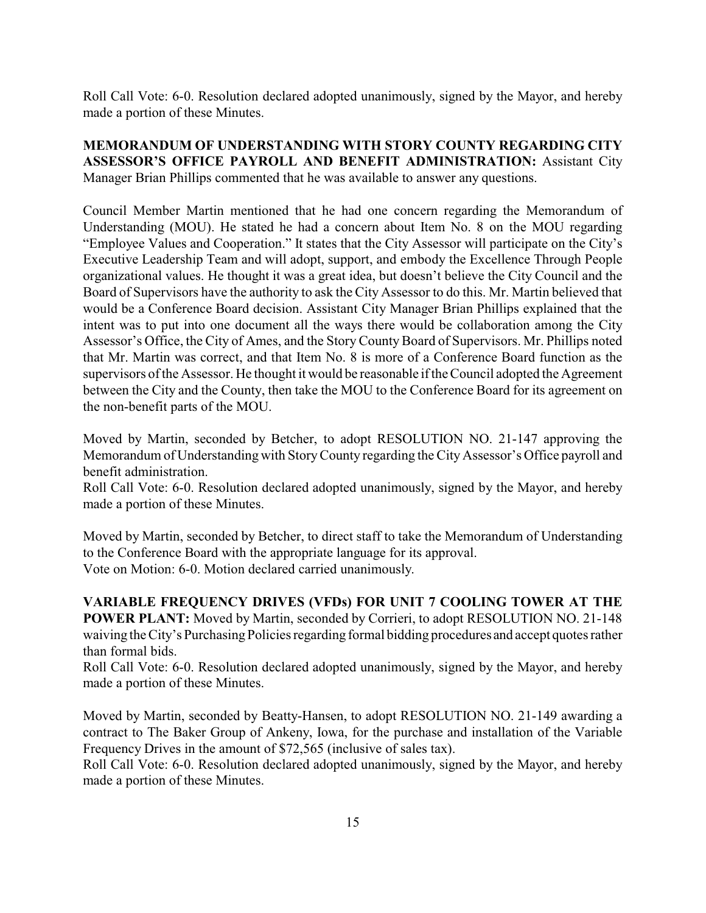Roll Call Vote: 6-0. Resolution declared adopted unanimously, signed by the Mayor, and hereby made a portion of these Minutes.

**MEMORANDUM OF UNDERSTANDING WITH STORY COUNTY REGARDING CITY ASSESSOR'S OFFICE PAYROLL AND BENEFIT ADMINISTRATION:** Assistant City Manager Brian Phillips commented that he was available to answer any questions.

Council Member Martin mentioned that he had one concern regarding the Memorandum of Understanding (MOU). He stated he had a concern about Item No. 8 on the MOU regarding "Employee Values and Cooperation." It states that the City Assessor will participate on the City's Executive Leadership Team and will adopt, support, and embody the Excellence Through People organizational values. He thought it was a great idea, but doesn't believe the City Council and the Board of Supervisors have the authority to ask the City Assessor to do this. Mr. Martin believed that would be a Conference Board decision. Assistant City Manager Brian Phillips explained that the intent was to put into one document all the ways there would be collaboration among the City Assessor's Office, the City of Ames, and the Story CountyBoard of Supervisors. Mr. Phillips noted that Mr. Martin was correct, and that Item No. 8 is more of a Conference Board function as the supervisors of the Assessor. He thought it would be reasonable if the Council adopted the Agreement between the City and the County, then take the MOU to the Conference Board for its agreement on the non-benefit parts of the MOU.

Moved by Martin, seconded by Betcher, to adopt RESOLUTION NO. 21-147 approving the Memorandum of Understanding with StoryCounty regarding the City Assessor's Office payroll and benefit administration.

Roll Call Vote: 6-0. Resolution declared adopted unanimously, signed by the Mayor, and hereby made a portion of these Minutes.

Moved by Martin, seconded by Betcher, to direct staff to take the Memorandum of Understanding to the Conference Board with the appropriate language for its approval. Vote on Motion: 6-0. Motion declared carried unanimously.

**VARIABLE FREQUENCY DRIVES (VFDs) FOR UNIT 7 COOLING TOWER AT THE POWER PLANT:** Moved by Martin, seconded by Corrieri, to adopt RESOLUTION NO. 21-148 waiving the City's Purchasing Policies regarding formal bidding procedures and accept quotes rather than formal bids.

Roll Call Vote: 6-0. Resolution declared adopted unanimously, signed by the Mayor, and hereby made a portion of these Minutes.

Moved by Martin, seconded by Beatty-Hansen, to adopt RESOLUTION NO. 21-149 awarding a contract to The Baker Group of Ankeny, Iowa, for the purchase and installation of the Variable Frequency Drives in the amount of \$72,565 (inclusive of sales tax).

Roll Call Vote: 6-0. Resolution declared adopted unanimously, signed by the Mayor, and hereby made a portion of these Minutes.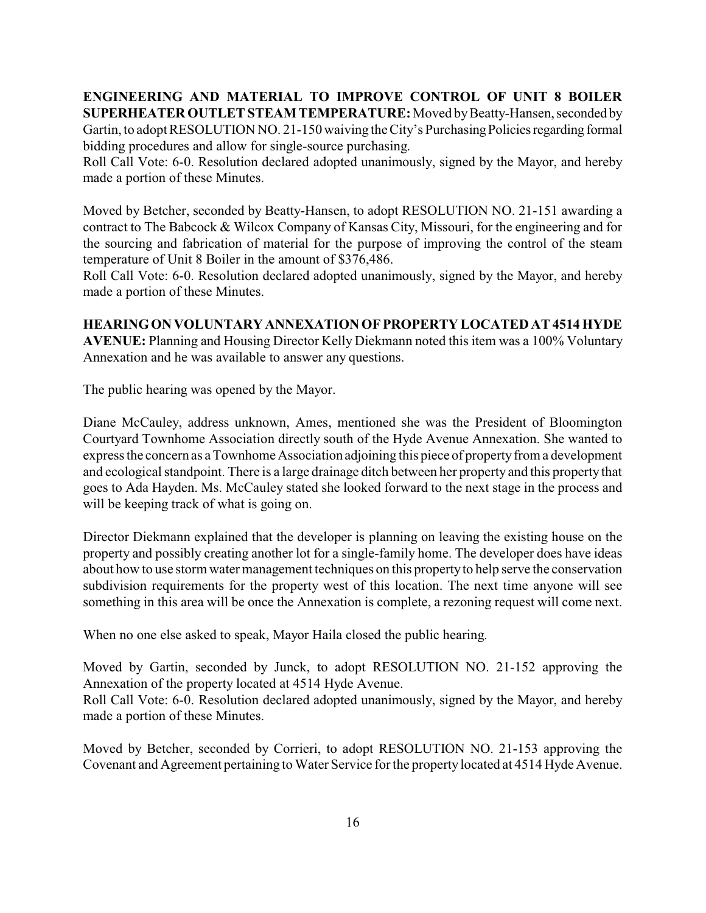**ENGINEERING AND MATERIAL TO IMPROVE CONTROL OF UNIT 8 BOILER SUPERHEATER OUTLET STEAM TEMPERATURE:**Moved byBeatty-Hansen, seconded by Gartin, to adopt RESOLUTION NO. 21-150 waiving the City's Purchasing Policies regarding formal bidding procedures and allow for single-source purchasing.

Roll Call Vote: 6-0. Resolution declared adopted unanimously, signed by the Mayor, and hereby made a portion of these Minutes.

Moved by Betcher, seconded by Beatty-Hansen, to adopt RESOLUTION NO. 21-151 awarding a contract to The Babcock & Wilcox Company of Kansas City, Missouri, for the engineering and for the sourcing and fabrication of material for the purpose of improving the control of the steam temperature of Unit 8 Boiler in the amount of \$376,486.

Roll Call Vote: 6-0. Resolution declared adopted unanimously, signed by the Mayor, and hereby made a portion of these Minutes.

# **HEARINGON VOLUNTARY ANNEXATION OFPROPERTY LOCATED AT 4514 HYDE**

**AVENUE:** Planning and Housing Director Kelly Diekmann noted this item was a 100% Voluntary Annexation and he was available to answer any questions.

The public hearing was opened by the Mayor.

Diane McCauley, address unknown, Ames, mentioned she was the President of Bloomington Courtyard Townhome Association directly south of the Hyde Avenue Annexation. She wanted to express the concern as a Townhome Association adjoining this piece of property from a development and ecological standpoint. There is a large drainage ditch between her property and this property that goes to Ada Hayden. Ms. McCauley stated she looked forward to the next stage in the process and will be keeping track of what is going on.

Director Diekmann explained that the developer is planning on leaving the existing house on the property and possibly creating another lot for a single-family home. The developer does have ideas about how to use storm water management techniques on this propertyto help serve the conservation subdivision requirements for the property west of this location. The next time anyone will see something in this area will be once the Annexation is complete, a rezoning request will come next.

When no one else asked to speak, Mayor Haila closed the public hearing.

Moved by Gartin, seconded by Junck, to adopt RESOLUTION NO. 21-152 approving the Annexation of the property located at 4514 Hyde Avenue.

Roll Call Vote: 6-0. Resolution declared adopted unanimously, signed by the Mayor, and hereby made a portion of these Minutes.

Moved by Betcher, seconded by Corrieri, to adopt RESOLUTION NO. 21-153 approving the Covenant and Agreement pertaining to Water Service for the propertylocated at 4514 Hyde Avenue.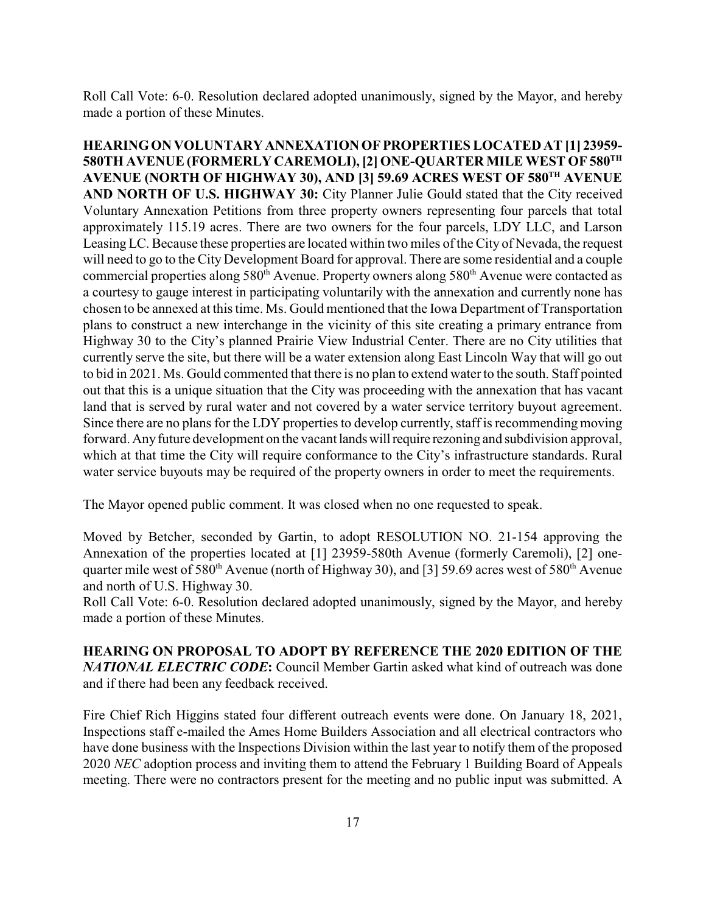Roll Call Vote: 6-0. Resolution declared adopted unanimously, signed by the Mayor, and hereby made a portion of these Minutes.

**HEARINGON VOLUNTARY ANNEXATION OFPROPERTIES LOCATED AT [1] 23959- 580TH AVENUE (FORMERLY CAREMOLI), [2] ONE-QUARTER MILE WEST OF 580TH AVENUE (NORTH OF HIGHWAY 30), AND [3] 59.69 ACRES WEST OF 580TH AVENUE AND NORTH OF U.S. HIGHWAY 30:** City Planner Julie Gould stated that the City received Voluntary Annexation Petitions from three property owners representing four parcels that total approximately 115.19 acres. There are two owners for the four parcels, LDY LLC, and Larson Leasing LC. Because these properties are located within two miles of the City of Nevada, the request will need to go to the City Development Board for approval. There are some residential and a couple commercial properties along 580<sup>th</sup> Avenue. Property owners along 580<sup>th</sup> Avenue were contacted as a courtesy to gauge interest in participating voluntarily with the annexation and currently none has chosen to be annexed at this time. Ms. Gould mentioned that the Iowa Department of Transportation plans to construct a new interchange in the vicinity of this site creating a primary entrance from Highway 30 to the City's planned Prairie View Industrial Center. There are no City utilities that currently serve the site, but there will be a water extension along East Lincoln Way that will go out to bid in 2021. Ms. Gould commented that there is no plan to extend water to the south. Staff pointed out that this is a unique situation that the City was proceeding with the annexation that has vacant land that is served by rural water and not covered by a water service territory buyout agreement. Since there are no plans for the LDY properties to develop currently, staff is recommending moving forward. Anyfuture development on the vacant landswillrequire rezoning and subdivision approval, which at that time the City will require conformance to the City's infrastructure standards. Rural water service buyouts may be required of the property owners in order to meet the requirements.

The Mayor opened public comment. It was closed when no one requested to speak.

Moved by Betcher, seconded by Gartin, to adopt RESOLUTION NO. 21-154 approving the Annexation of the properties located at [1] 23959-580th Avenue (formerly Caremoli), [2] onequarter mile west of 580<sup>th</sup> Avenue (north of Highway 30), and [3] 59.69 acres west of 580<sup>th</sup> Avenue and north of U.S. Highway 30.

Roll Call Vote: 6-0. Resolution declared adopted unanimously, signed by the Mayor, and hereby made a portion of these Minutes.

**HEARING ON PROPOSAL TO ADOPT BY REFERENCE THE 2020 EDITION OF THE** *NATIONAL ELECTRIC CODE***:** Council Member Gartin asked what kind of outreach was done and if there had been any feedback received.

Fire Chief Rich Higgins stated four different outreach events were done. On January 18, 2021, Inspections staff e-mailed the Ames Home Builders Association and all electrical contractors who have done business with the Inspections Division within the last year to notify them of the proposed 2020 *NEC* adoption process and inviting them to attend the February 1 Building Board of Appeals meeting. There were no contractors present for the meeting and no public input was submitted. A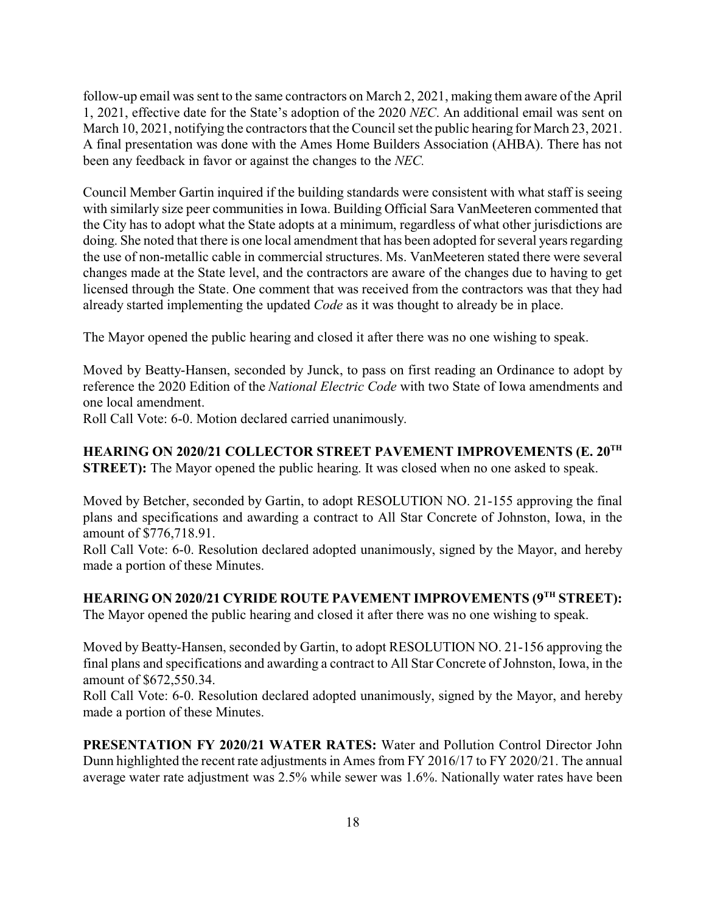follow-up email was sent to the same contractors on March 2, 2021, making them aware of the April 1, 2021, effective date for the State's adoption of the 2020 *NEC*. An additional email was sent on March 10, 2021, notifying the contractors that the Council set the public hearing for March 23, 2021. A final presentation was done with the Ames Home Builders Association (AHBA). There has not been any feedback in favor or against the changes to the *NEC.* 

Council Member Gartin inquired if the building standards were consistent with what staff is seeing with similarly size peer communities in Iowa. Building Official Sara VanMeeteren commented that the City has to adopt what the State adopts at a minimum, regardless of what other jurisdictions are doing. She noted that there is one local amendment that has been adopted for several years regarding the use of non-metallic cable in commercial structures. Ms. VanMeeteren stated there were several changes made at the State level, and the contractors are aware of the changes due to having to get licensed through the State. One comment that was received from the contractors was that they had already started implementing the updated *Code* as it was thought to already be in place.

The Mayor opened the public hearing and closed it after there was no one wishing to speak.

Moved by Beatty-Hansen, seconded by Junck, to pass on first reading an Ordinance to adopt by reference the 2020 Edition of the *National Electric Code* with two State of Iowa amendments and one local amendment.

Roll Call Vote: 6-0. Motion declared carried unanimously.

**HEARING ON 2020/21 COLLECTOR STREET PAVEMENT IMPROVEMENTS (E. 20TH STREET):** The Mayor opened the public hearing. It was closed when no one asked to speak.

Moved by Betcher, seconded by Gartin, to adopt RESOLUTION NO. 21-155 approving the final plans and specifications and awarding a contract to All Star Concrete of Johnston, Iowa, in the amount of \$776,718.91.

Roll Call Vote: 6-0. Resolution declared adopted unanimously, signed by the Mayor, and hereby made a portion of these Minutes.

**HEARING ON 2020/21 CYRIDE ROUTE PAVEMENT IMPROVEMENTS (9TH STREET):** The Mayor opened the public hearing and closed it after there was no one wishing to speak.

Moved by Beatty-Hansen, seconded by Gartin, to adopt RESOLUTION NO. 21-156 approving the final plans and specifications and awarding a contract to All Star Concrete of Johnston, Iowa, in the amount of \$672,550.34.

Roll Call Vote: 6-0. Resolution declared adopted unanimously, signed by the Mayor, and hereby made a portion of these Minutes.

**PRESENTATION FY 2020/21 WATER RATES:** Water and Pollution Control Director John Dunn highlighted the recent rate adjustments in Ames from FY 2016/17 to FY 2020/21. The annual average water rate adjustment was 2.5% while sewer was 1.6%. Nationally water rates have been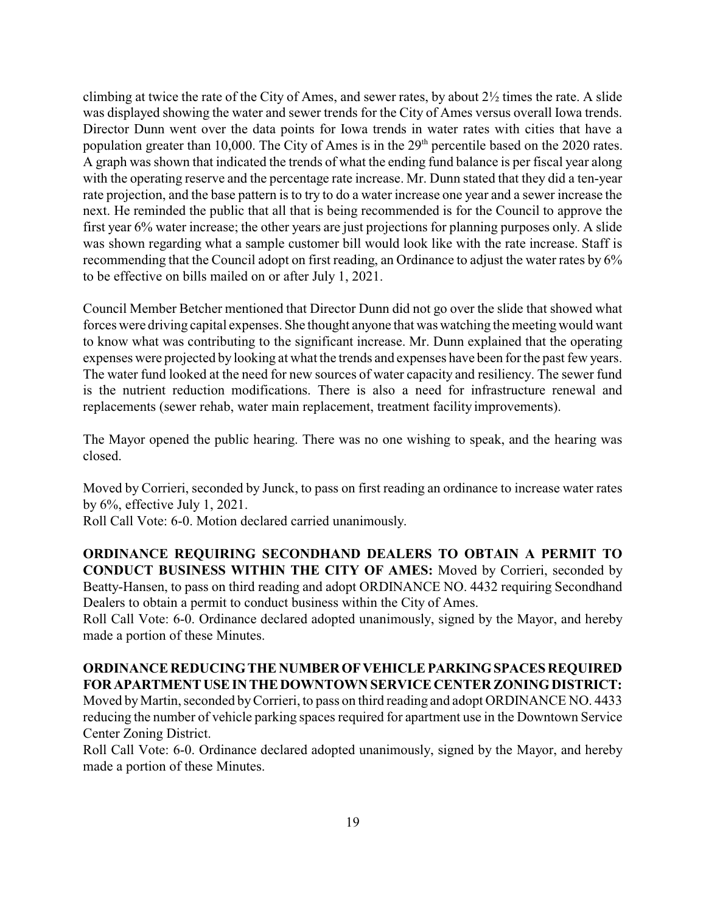climbing at twice the rate of the City of Ames, and sewer rates, by about  $2\frac{1}{2}$  times the rate. A slide was displayed showing the water and sewer trends for the City of Ames versus overall Iowa trends. Director Dunn went over the data points for Iowa trends in water rates with cities that have a population greater than 10,000. The City of Ames is in the 29<sup>th</sup> percentile based on the 2020 rates. A graph was shown that indicated the trends of what the ending fund balance is per fiscal year along with the operating reserve and the percentage rate increase. Mr. Dunn stated that they did a ten-year rate projection, and the base pattern is to try to do a water increase one year and a sewer increase the next. He reminded the public that all that is being recommended is for the Council to approve the first year 6% water increase; the other years are just projections for planning purposes only. A slide was shown regarding what a sample customer bill would look like with the rate increase. Staff is recommending that the Council adopt on first reading, an Ordinance to adjust the water rates by 6% to be effective on bills mailed on or after July 1, 2021.

Council Member Betcher mentioned that Director Dunn did not go over the slide that showed what forces were driving capital expenses. She thought anyone that was watching the meeting would want to know what was contributing to the significant increase. Mr. Dunn explained that the operating expenses were projected by looking at what the trends and expenses have been for the past few years. The water fund looked at the need for new sources of water capacity and resiliency. The sewer fund is the nutrient reduction modifications. There is also a need for infrastructure renewal and replacements (sewer rehab, water main replacement, treatment facility improvements).

The Mayor opened the public hearing. There was no one wishing to speak, and the hearing was closed.

Moved by Corrieri, seconded by Junck, to pass on first reading an ordinance to increase water rates by 6%, effective July 1, 2021.

Roll Call Vote: 6-0. Motion declared carried unanimously.

**ORDINANCE REQUIRING SECONDHAND DEALERS TO OBTAIN A PERMIT TO CONDUCT BUSINESS WITHIN THE CITY OF AMES:** Moved by Corrieri, seconded by Beatty-Hansen, to pass on third reading and adopt ORDINANCE NO. 4432 requiring Secondhand Dealers to obtain a permit to conduct business within the City of Ames.

Roll Call Vote: 6-0. Ordinance declared adopted unanimously, signed by the Mayor, and hereby made a portion of these Minutes.

# **ORDINANCE REDUCINGTHE NUMBEROFVEHICLEPARKINGSPACESREQUIRED** FOR APARTMENT USE IN THE DOWNTOWN SERVICE CENTER ZONING DISTRICT:

Moved byMartin, seconded byCorrieri, to pass on third reading and adopt ORDINANCE NO. 4433 reducing the number of vehicle parking spaces required for apartment use in the Downtown Service Center Zoning District.

Roll Call Vote: 6-0. Ordinance declared adopted unanimously, signed by the Mayor, and hereby made a portion of these Minutes.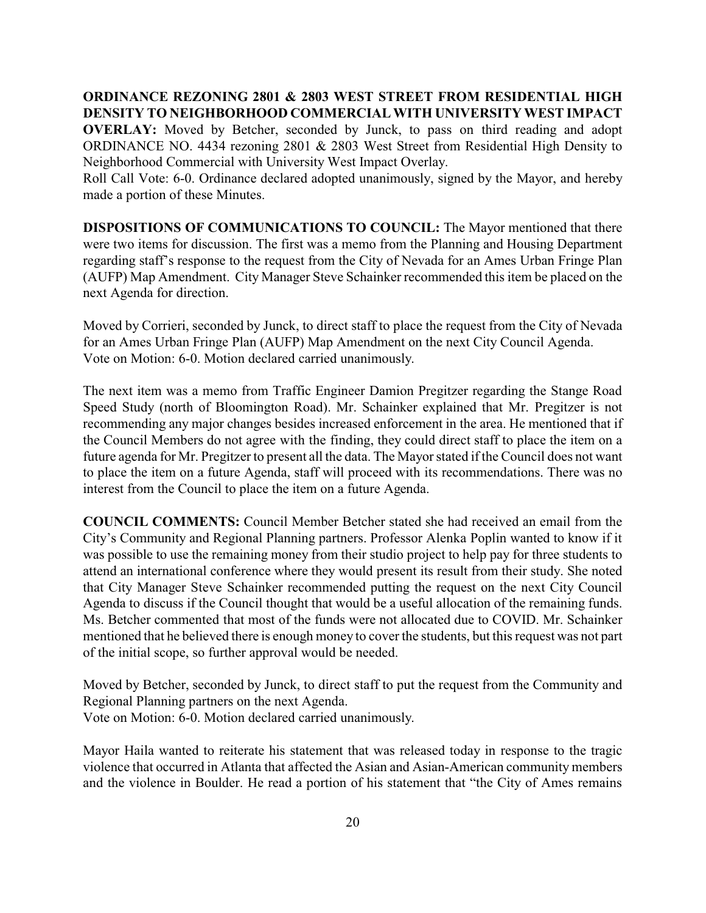**ORDINANCE REZONING 2801 & 2803 WEST STREET FROM RESIDENTIAL HIGH DENSITY TO NEIGHBORHOOD COMMERCIAL WITH UNIVERSITY WEST IMPACT OVERLAY:** Moved by Betcher, seconded by Junck, to pass on third reading and adopt ORDINANCE NO. 4434 rezoning 2801 & 2803 West Street from Residential High Density to Neighborhood Commercial with University West Impact Overlay.

Roll Call Vote: 6-0. Ordinance declared adopted unanimously, signed by the Mayor, and hereby made a portion of these Minutes.

**DISPOSITIONS OF COMMUNICATIONS TO COUNCIL:** The Mayor mentioned that there were two items for discussion. The first was a memo from the Planning and Housing Department regarding staff's response to the request from the City of Nevada for an Ames Urban Fringe Plan (AUFP) Map Amendment. City Manager Steve Schainker recommended this item be placed on the next Agenda for direction.

Moved by Corrieri, seconded by Junck, to direct staff to place the request from the City of Nevada for an Ames Urban Fringe Plan (AUFP) Map Amendment on the next City Council Agenda. Vote on Motion: 6-0. Motion declared carried unanimously.

The next item was a memo from Traffic Engineer Damion Pregitzer regarding the Stange Road Speed Study (north of Bloomington Road). Mr. Schainker explained that Mr. Pregitzer is not recommending any major changes besides increased enforcement in the area. He mentioned that if the Council Members do not agree with the finding, they could direct staff to place the item on a future agenda for Mr. Pregitzer to present all the data. The Mayor stated if the Council does not want to place the item on a future Agenda, staff will proceed with its recommendations. There was no interest from the Council to place the item on a future Agenda.

**COUNCIL COMMENTS:** Council Member Betcher stated she had received an email from the City's Community and Regional Planning partners. Professor Alenka Poplin wanted to know if it was possible to use the remaining money from their studio project to help pay for three students to attend an international conference where they would present its result from their study. She noted that City Manager Steve Schainker recommended putting the request on the next City Council Agenda to discuss if the Council thought that would be a useful allocation of the remaining funds. Ms. Betcher commented that most of the funds were not allocated due to COVID. Mr. Schainker mentioned that he believed there is enough money to cover the students, but this request was not part of the initial scope, so further approval would be needed.

Moved by Betcher, seconded by Junck, to direct staff to put the request from the Community and Regional Planning partners on the next Agenda. Vote on Motion: 6-0. Motion declared carried unanimously.

Mayor Haila wanted to reiterate his statement that was released today in response to the tragic violence that occurred in Atlanta that affected the Asian and Asian-American community members and the violence in Boulder. He read a portion of his statement that "the City of Ames remains